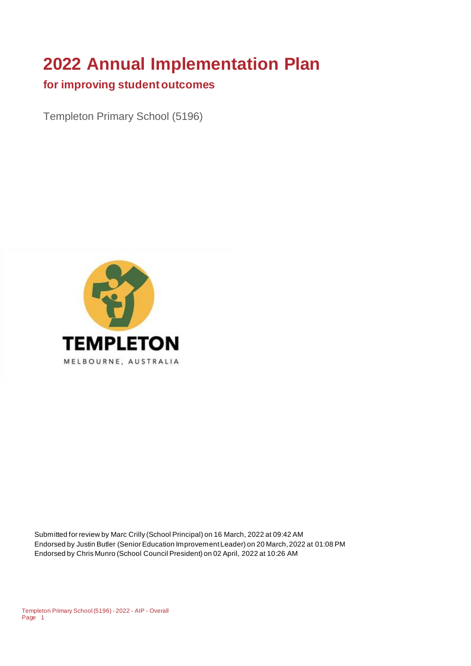# **2022 Annual Implementation Plan**

#### **for improving student outcomes**

Templeton Primary School (5196)



Submitted for review by Marc Crilly (School Principal) on 16 March, 2022 at 09:42 AM Endorsed by Justin Butler (Senior Education Improvement Leader) on 20 March, 2022 at 01:08 PM Endorsed by Chris Munro (School Council President) on 02 April, 2022 at 10:26 AM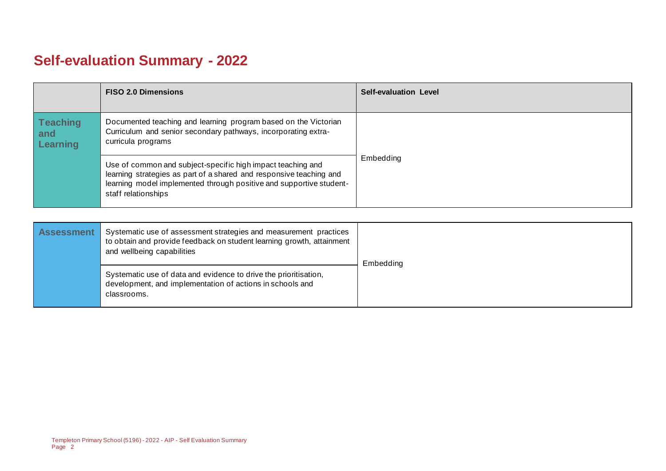# **Self-evaluation Summary - 2022**

|                                    | <b>FISO 2.0 Dimensions</b>                                                                                                                                                                                                       | <b>Self-evaluation Level</b> |
|------------------------------------|----------------------------------------------------------------------------------------------------------------------------------------------------------------------------------------------------------------------------------|------------------------------|
| <b>Teaching</b><br>and<br>Learning | Documented teaching and learning program based on the Victorian<br>Curriculum and senior secondary pathways, incorporating extra-<br>curricula programs                                                                          |                              |
|                                    | Use of common and subject-specific high impact teaching and<br>learning strategies as part of a shared and responsive teaching and<br>learning model implemented through positive and supportive student-<br>staff relationships | Embedding                    |

| <b>Assessment</b> | Systematic use of assessment strategies and measurement practices<br>to obtain and provide feedback on student learning growth, attainment<br>and wellbeing capabilities | Embedding |
|-------------------|--------------------------------------------------------------------------------------------------------------------------------------------------------------------------|-----------|
|                   | Systematic use of data and evidence to drive the prioritisation,<br>development, and implementation of actions in schools and<br>classrooms.                             |           |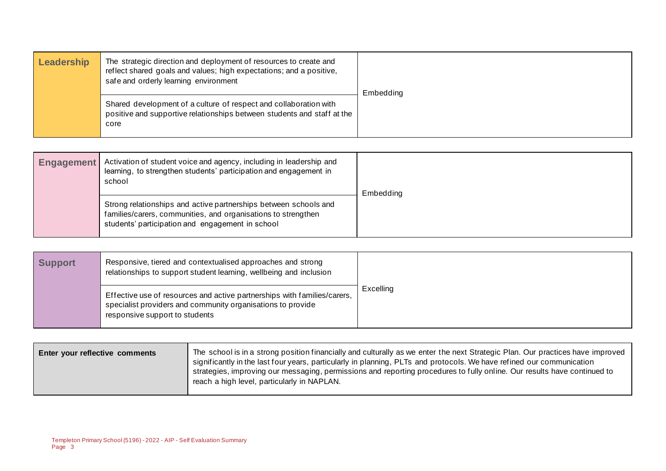| Leadership | The strategic direction and deployment of resources to create and<br>reflect shared goals and values; high expectations; and a positive,<br>safe and orderly learning environment | Embedding |
|------------|-----------------------------------------------------------------------------------------------------------------------------------------------------------------------------------|-----------|
|            | Shared development of a culture of respect and collaboration with<br>positive and supportive relationships between students and staff at the<br>core                              |           |

| <b>Engagement</b> | Activation of student voice and agency, including in leadership and<br>learning, to strengthen students' participation and engagement in<br>school                                    | Embedding |
|-------------------|---------------------------------------------------------------------------------------------------------------------------------------------------------------------------------------|-----------|
|                   | Strong relationships and active partnerships between schools and<br>families/carers, communities, and organisations to strengthen<br>students' participation and engagement in school |           |

| <b>Support</b> | Responsive, tiered and contextualised approaches and strong<br>relationships to support student learning, wellbeing and inclusion                                         |           |
|----------------|---------------------------------------------------------------------------------------------------------------------------------------------------------------------------|-----------|
|                | Effective use of resources and active partnerships with families/carers,<br>specialist providers and community organisations to provide<br>responsive support to students | Excelling |

| significantly in the last four years, particularly in planning, PLTs and protocols. We have refined our communication<br>strategies, improving our messaging, permissions and reporting procedures to fully online. Our results have continued to<br>reach a high level, particularly in NAPLAN. | Enter your reflective comments | The school is in a strong position financially and culturally as we enter the next Strategic Plan. Our practices have improved |
|--------------------------------------------------------------------------------------------------------------------------------------------------------------------------------------------------------------------------------------------------------------------------------------------------|--------------------------------|--------------------------------------------------------------------------------------------------------------------------------|
|--------------------------------------------------------------------------------------------------------------------------------------------------------------------------------------------------------------------------------------------------------------------------------------------------|--------------------------------|--------------------------------------------------------------------------------------------------------------------------------|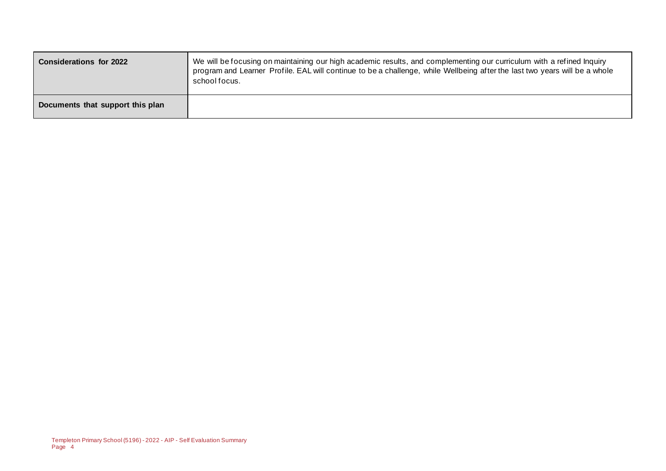| <b>Considerations for 2022</b>   | We will be focusing on maintaining our high academic results, and complementing our curriculum with a refined Inquiry<br>program and Learner Profile. EAL will continue to be a challenge, while Wellbeing after the last two years will be a whole<br>school focus. |
|----------------------------------|----------------------------------------------------------------------------------------------------------------------------------------------------------------------------------------------------------------------------------------------------------------------|
| Documents that support this plan |                                                                                                                                                                                                                                                                      |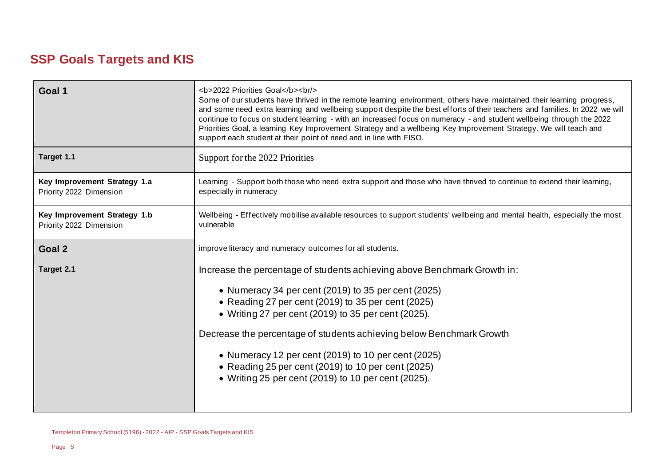## **SSP Goals Targets and KIS**

| Goal 1                                                  | <b>2022 Priorities Goal</b><br><br><br>Some of our students have thrived in the remote learning environment, others have maintained their learning progress,<br>and some need extra learning and wellbeing support despite the best efforts of their teachers and families. In 2022 we will<br>continue to focus on student learning - with an increased focus on numeracy - and student wellbeing through the 2022<br>Priorities Goal, a learning Key Improvement Strategy and a wellbeing Key Improvement Strategy. We will teach and<br>support each student at their point of need and in line with FISO. |  |  |
|---------------------------------------------------------|---------------------------------------------------------------------------------------------------------------------------------------------------------------------------------------------------------------------------------------------------------------------------------------------------------------------------------------------------------------------------------------------------------------------------------------------------------------------------------------------------------------------------------------------------------------------------------------------------------------|--|--|
| Target 1.1                                              | Support for the 2022 Priorities                                                                                                                                                                                                                                                                                                                                                                                                                                                                                                                                                                               |  |  |
| Key Improvement Strategy 1.a<br>Priority 2022 Dimension | Learning - Support both those who need extra support and those who have thrived to continue to extend their learning,<br>especially in numeracy                                                                                                                                                                                                                                                                                                                                                                                                                                                               |  |  |
| Key Improvement Strategy 1.b<br>Priority 2022 Dimension | Wellbeing - Effectively mobilise available resources to support students' wellbeing and mental health, especially the most<br>vulnerable                                                                                                                                                                                                                                                                                                                                                                                                                                                                      |  |  |
| Goal 2                                                  | improve literacy and numeracy outcomes for all students.                                                                                                                                                                                                                                                                                                                                                                                                                                                                                                                                                      |  |  |
| Target 2.1                                              | Increase the percentage of students achieving above Benchmark Growth in:<br>• Numeracy 34 per cent (2019) to 35 per cent (2025)<br>• Reading 27 per cent (2019) to 35 per cent (2025)<br>• Writing 27 per cent (2019) to 35 per cent (2025).<br>Decrease the percentage of students achieving below Benchmark Growth<br>• Numeracy 12 per cent (2019) to 10 per cent (2025)<br>• Reading 25 per cent (2019) to 10 per cent (2025)<br>• Writing 25 per cent (2019) to 10 per cent (2025).                                                                                                                      |  |  |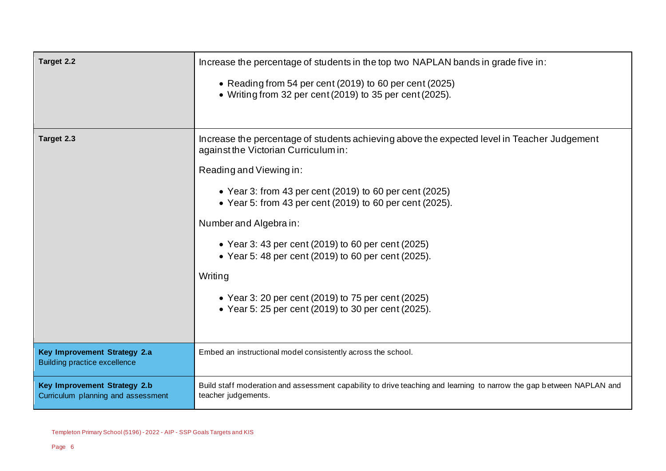| Target 2.2                                                          | Increase the percentage of students in the top two NAPLAN bands in grade five in:                                                           |  |
|---------------------------------------------------------------------|---------------------------------------------------------------------------------------------------------------------------------------------|--|
|                                                                     | • Reading from 54 per cent (2019) to 60 per cent (2025)<br>• Writing from 32 per cent (2019) to 35 per cent (2025).                         |  |
| Target 2.3                                                          | Increase the percentage of students achieving above the expected level in Teacher Judgement<br>against the Victorian Curriculum in:         |  |
|                                                                     | Reading and Viewing in:                                                                                                                     |  |
|                                                                     | • Year 3: from 43 per cent (2019) to 60 per cent (2025)<br>• Year 5: from 43 per cent (2019) to 60 per cent (2025).                         |  |
|                                                                     | Number and Algebra in:                                                                                                                      |  |
|                                                                     | • Year 3: 43 per cent (2019) to 60 per cent (2025)<br>• Year 5: 48 per cent (2019) to 60 per cent (2025).                                   |  |
|                                                                     | Writing                                                                                                                                     |  |
|                                                                     | • Year 3: 20 per cent (2019) to 75 per cent (2025)<br>• Year 5: 25 per cent (2019) to 30 per cent (2025).                                   |  |
| Key Improvement Strategy 2.a<br><b>Building practice excellence</b> | Embed an instructional model consistently across the school.                                                                                |  |
| Key Improvement Strategy 2.b<br>Curriculum planning and assessment  | Build staff moderation and assessment capability to drive teaching and learning to narrow the gap between NAPLAN and<br>teacher judgements. |  |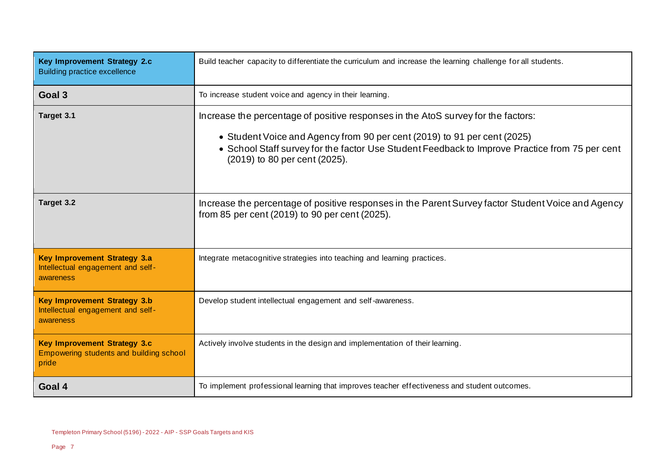| Key Improvement Strategy 2.c<br><b>Building practice excellence</b>                          | Build teacher capacity to differentiate the curriculum and increase the learning challenge for all students.                                                                                                                                                                                     |  |
|----------------------------------------------------------------------------------------------|--------------------------------------------------------------------------------------------------------------------------------------------------------------------------------------------------------------------------------------------------------------------------------------------------|--|
| Goal 3                                                                                       | To increase student voice and agency in their learning.                                                                                                                                                                                                                                          |  |
| Target 3.1                                                                                   | Increase the percentage of positive responses in the AtoS survey for the factors:<br>• Student Voice and Agency from 90 per cent (2019) to 91 per cent (2025)<br>• School Staff survey for the factor Use Student Feedback to Improve Practice from 75 per cent<br>(2019) to 80 per cent (2025). |  |
| Target 3.2                                                                                   | Increase the percentage of positive responses in the Parent Survey factor Student Voice and Agency<br>from 85 per cent (2019) to 90 per cent (2025).                                                                                                                                             |  |
| <b>Key Improvement Strategy 3.a</b><br>Intellectual engagement and self-<br>awareness        | Integrate metacognitive strategies into teaching and learning practices.                                                                                                                                                                                                                         |  |
| <b>Key Improvement Strategy 3.b</b><br>Intellectual engagement and self-<br><b>awareness</b> | Develop student intellectual engagement and self-awareness.                                                                                                                                                                                                                                      |  |
| <b>Key Improvement Strategy 3.c</b><br>Empowering students and building school<br>pride      | Actively involve students in the design and implementation of their learning.                                                                                                                                                                                                                    |  |
| Goal 4                                                                                       | To implement professional learning that improves teacher effectiveness and student outcomes.                                                                                                                                                                                                     |  |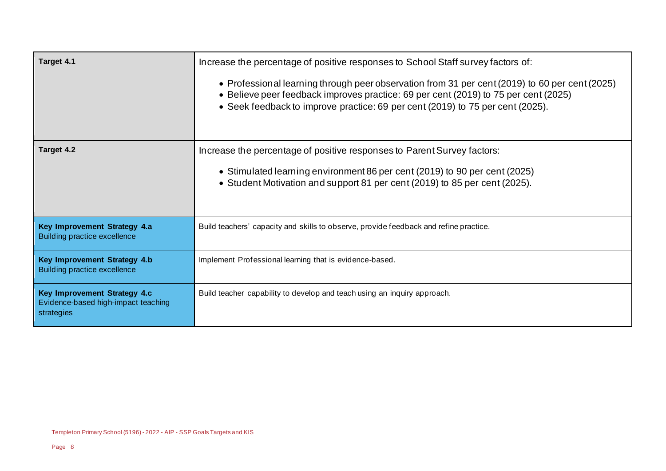| Target 4.1                                                                                                                                                                                                                                        | Increase the percentage of positive responses to School Staff survey factors of:<br>• Professional learning through peer observation from 31 per cent (2019) to 60 per cent (2025)<br>• Believe peer feedback improves practice: 69 per cent (2019) to 75 per cent (2025)<br>• Seek feedback to improve practice: 69 per cent (2019) to 75 per cent (2025). |  |
|---------------------------------------------------------------------------------------------------------------------------------------------------------------------------------------------------------------------------------------------------|-------------------------------------------------------------------------------------------------------------------------------------------------------------------------------------------------------------------------------------------------------------------------------------------------------------------------------------------------------------|--|
| Target 4.2<br>Increase the percentage of positive responses to Parent Survey factors:<br>• Stimulated learning environment 86 per cent (2019) to 90 per cent (2025)<br>• Student Motivation and support 81 per cent (2019) to 85 per cent (2025). |                                                                                                                                                                                                                                                                                                                                                             |  |
| Key Improvement Strategy 4.a<br><b>Building practice excellence</b>                                                                                                                                                                               | Build teachers' capacity and skills to observe, provide feedback and refine practice.                                                                                                                                                                                                                                                                       |  |
| Key Improvement Strategy 4.b<br><b>Building practice excellence</b>                                                                                                                                                                               | Implement Professional learning that is evidence-based.                                                                                                                                                                                                                                                                                                     |  |
| Key Improvement Strategy 4.c<br>Evidence-based high-impact teaching<br>strategies                                                                                                                                                                 | Build teacher capability to develop and teach using an inquiry approach.                                                                                                                                                                                                                                                                                    |  |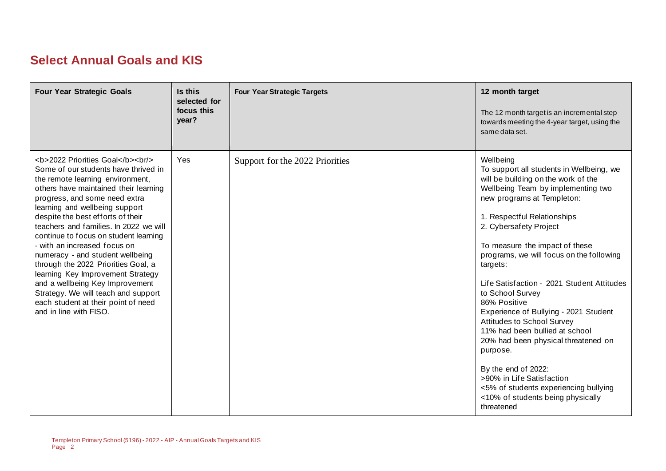## **Select Annual Goals and KIS**

| <b>Four Year Strategic Goals</b>                                                                                                                                                              | Is this<br>selected for<br>focus this<br>year? | <b>Four Year Strategic Targets</b> | 12 month target<br>The 12 month target is an incremental step<br>towards meeting the 4-year target, using the<br>same data set.                                                                                                                                                                                                                                                                                                                                                                                                                                                                                                                                                                                   |
|-----------------------------------------------------------------------------------------------------------------------------------------------------------------------------------------------|------------------------------------------------|------------------------------------|-------------------------------------------------------------------------------------------------------------------------------------------------------------------------------------------------------------------------------------------------------------------------------------------------------------------------------------------------------------------------------------------------------------------------------------------------------------------------------------------------------------------------------------------------------------------------------------------------------------------------------------------------------------------------------------------------------------------|
| <b>2022 Priorities Goal</b><br><br><br>Some of our students have thrived in<br>the remote learning environment,<br>others have maintained their learning<br>progress, and some need extra<br> | Yes                                            | Support for the 2022 Priorities    | Wellbeing<br>To support all students in Wellbeing, we<br>will be building on the work of the<br>Wellbeing Team by implementing two<br>new programs at Templeton:<br>1. Respectful Relationships<br>2. Cybersafety Project<br>To measure the impact of these<br>programs, we will focus on the following<br>targets:<br>Life Satisfaction - 2021 Student Attitudes<br>to School Survey<br>86% Positive<br>Experience of Bullying - 2021 Student<br>Attitudes to School Survey<br>11% had been bullied at school<br>20% had been physical threatened on<br>purpose.<br>By the end of 2022:<br>>90% in Life Satisfaction<br><5% of students experiencing bullying<br><10% of students being physically<br>threatened |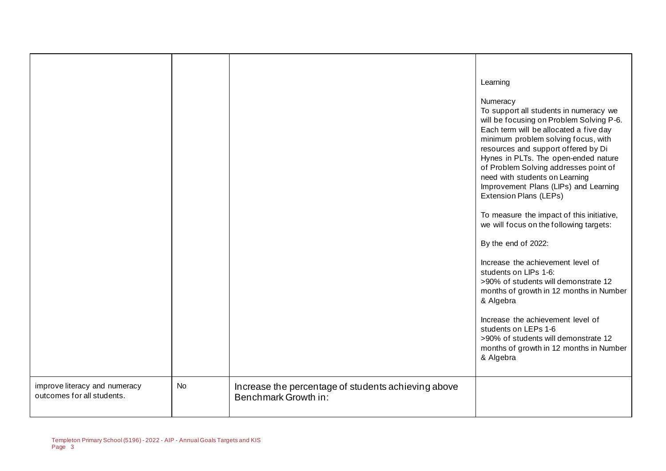|                                                             |           |                                                                             | Learning                                                                                                                                                                                                                                                                                                                                                                                                                                                                                                                                                                |
|-------------------------------------------------------------|-----------|-----------------------------------------------------------------------------|-------------------------------------------------------------------------------------------------------------------------------------------------------------------------------------------------------------------------------------------------------------------------------------------------------------------------------------------------------------------------------------------------------------------------------------------------------------------------------------------------------------------------------------------------------------------------|
|                                                             |           |                                                                             | Numeracy<br>To support all students in numeracy we<br>will be focusing on Problem Solving P-6.<br>Each term will be allocated a five day<br>minimum problem solving focus, with<br>resources and support offered by Di<br>Hynes in PLTs. The open-ended nature<br>of Problem Solving addresses point of<br>need with students on Learning<br>Improvement Plans (LIPs) and Learning<br><b>Extension Plans (LEPs)</b><br>To measure the impact of this initiative,<br>we will focus on the following targets:<br>By the end of 2022:<br>Increase the achievement level of |
|                                                             |           |                                                                             | students on LIPs 1-6:<br>>90% of students will demonstrate 12<br>months of growth in 12 months in Number<br>& Algebra                                                                                                                                                                                                                                                                                                                                                                                                                                                   |
|                                                             |           |                                                                             | Increase the achievement level of<br>students on LEPs 1-6<br>>90% of students will demonstrate 12<br>months of growth in 12 months in Number<br>& Algebra                                                                                                                                                                                                                                                                                                                                                                                                               |
| improve literacy and numeracy<br>outcomes for all students. | <b>No</b> | Increase the percentage of students achieving above<br>Benchmark Growth in: |                                                                                                                                                                                                                                                                                                                                                                                                                                                                                                                                                                         |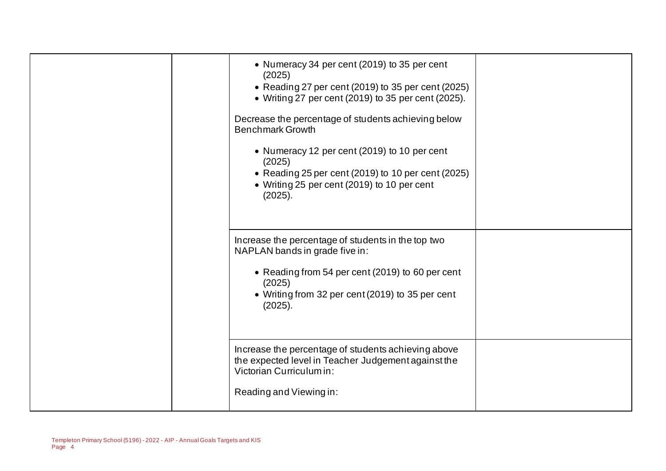| • Numeracy 34 per cent (2019) to 35 per cent<br>(2025)<br>• Reading 27 per cent (2019) to 35 per cent (2025)<br>• Writing 27 per cent (2019) to 35 per cent (2025).<br>Decrease the percentage of students achieving below<br><b>Benchmark Growth</b><br>• Numeracy 12 per cent (2019) to 10 per cent<br>(2025)<br>• Reading 25 per cent (2019) to 10 per cent (2025)<br>• Writing 25 per cent (2019) to 10 per cent<br>(2025). |  |
|---------------------------------------------------------------------------------------------------------------------------------------------------------------------------------------------------------------------------------------------------------------------------------------------------------------------------------------------------------------------------------------------------------------------------------|--|
| Increase the percentage of students in the top two<br>NAPLAN bands in grade five in:<br>• Reading from 54 per cent (2019) to 60 per cent<br>(2025)<br>• Writing from 32 per cent (2019) to 35 per cent<br>(2025).<br>Increase the percentage of students achieving above                                                                                                                                                        |  |
| the expected level in Teacher Judgement against the<br>Victorian Curriculum in:<br>Reading and Viewing in:                                                                                                                                                                                                                                                                                                                      |  |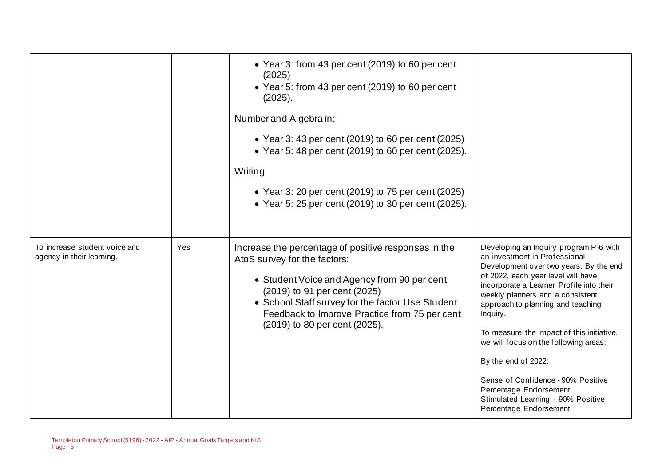|                                                            |     | • Year 3: from 43 per cent (2019) to 60 per cent<br>(2025)<br>• Year 5: from 43 per cent (2019) to 60 per cent<br>(2025).<br>Number and Algebra in:<br>• Year 3: 43 per cent (2019) to 60 per cent (2025)<br>• Year 5: 48 per cent (2019) to 60 per cent (2025).<br>Writing<br>• Year 3: 20 per cent (2019) to 75 per cent (2025)<br>• Year 5: 25 per cent (2019) to 30 per cent (2025). |                                                                                                                                                                                                                                                                                                                                                                                                                                                                                                                                       |
|------------------------------------------------------------|-----|------------------------------------------------------------------------------------------------------------------------------------------------------------------------------------------------------------------------------------------------------------------------------------------------------------------------------------------------------------------------------------------|---------------------------------------------------------------------------------------------------------------------------------------------------------------------------------------------------------------------------------------------------------------------------------------------------------------------------------------------------------------------------------------------------------------------------------------------------------------------------------------------------------------------------------------|
| To increase student voice and<br>agency in their learning. | Yes | Increase the percentage of positive responses in the<br>AtoS survey for the factors:<br>• Student Voice and Agency from 90 per cent<br>(2019) to 91 per cent (2025)<br>• School Staff survey for the factor Use Student<br>Feedback to Improve Practice from 75 per cent<br>(2019) to 80 per cent (2025).                                                                                | Developing an Inquiry program P-6 with<br>an investment in Professional<br>Development over two years. By the end<br>of 2022, each year level will have<br>incorporate a Learner Profile into their<br>weekly planners and a consistent<br>approach to planning and teaching<br>Inquiry.<br>To measure the impact of this initiative,<br>we will focus on the following areas:<br>By the end of 2022:<br>Sense of Confidence - 90% Positive<br>Percentage Endorsement<br>Stimulated Learning - 90% Positive<br>Percentage Endorsement |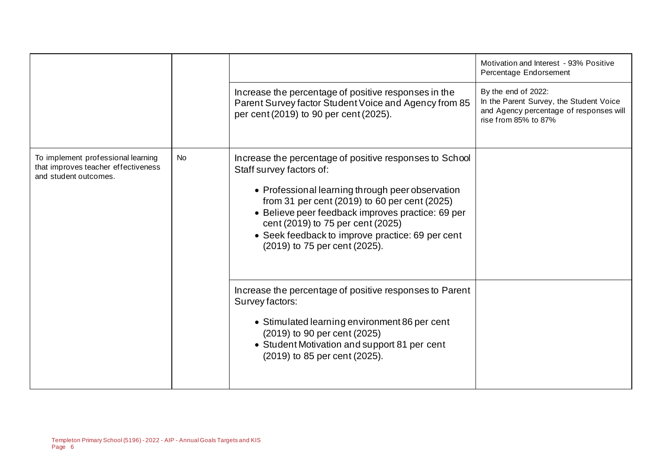|                                                                                                    |    |                                                                                                                                                                                                                                                                                                                                                                         | Motivation and Interest - 93% Positive<br>Percentage Endorsement                                                                  |
|----------------------------------------------------------------------------------------------------|----|-------------------------------------------------------------------------------------------------------------------------------------------------------------------------------------------------------------------------------------------------------------------------------------------------------------------------------------------------------------------------|-----------------------------------------------------------------------------------------------------------------------------------|
|                                                                                                    |    | Increase the percentage of positive responses in the<br>Parent Survey factor Student Voice and Agency from 85<br>per cent (2019) to 90 per cent (2025).                                                                                                                                                                                                                 | By the end of 2022:<br>In the Parent Survey, the Student Voice<br>and Agency percentage of responses will<br>rise from 85% to 87% |
| To implement professional learning<br>that improves teacher effectiveness<br>and student outcomes. | No | Increase the percentage of positive responses to School<br>Staff survey factors of:<br>• Professional learning through peer observation<br>from 31 per cent (2019) to 60 per cent (2025)<br>• Believe peer feedback improves practice: 69 per<br>cent (2019) to 75 per cent (2025)<br>• Seek feedback to improve practice: 69 per cent<br>(2019) to 75 per cent (2025). |                                                                                                                                   |
|                                                                                                    |    | Increase the percentage of positive responses to Parent<br>Survey factors:<br>• Stimulated learning environment 86 per cent<br>(2019) to 90 per cent (2025)<br>• Student Motivation and support 81 per cent<br>(2019) to 85 per cent (2025).                                                                                                                            |                                                                                                                                   |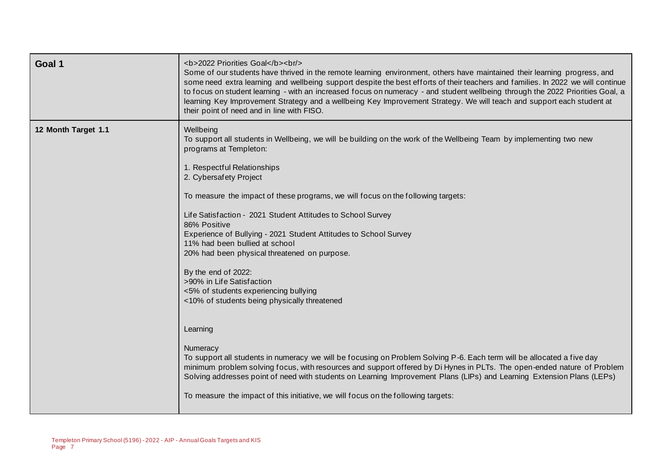| Goal 1              | <b>2022 Priorities Goal</b><br><br><br>Some of our students have thrived in the remote learning environment, others have maintained their learning progress, and<br>some need extra learning and wellbeing support despite the best efforts of their teachers and families. In 2022 we will continue<br>to focus on student learning - with an increased focus on numeracy - and student wellbeing through the 2022 Priorities Goal, a<br>learning Key Improvement Strategy and a wellbeing Key Improvement Strategy. We will teach and support each student at<br>their point of need and in line with FISO.                                                                             |
|---------------------|-------------------------------------------------------------------------------------------------------------------------------------------------------------------------------------------------------------------------------------------------------------------------------------------------------------------------------------------------------------------------------------------------------------------------------------------------------------------------------------------------------------------------------------------------------------------------------------------------------------------------------------------------------------------------------------------|
| 12 Month Target 1.1 | Wellbeing<br>To support all students in Wellbeing, we will be building on the work of the Wellbeing Team by implementing two new<br>programs at Templeton:<br>1. Respectful Relationships<br>2. Cybersafety Project<br>To measure the impact of these programs, we will focus on the following targets:<br>Life Satisfaction - 2021 Student Attitudes to School Survey<br>86% Positive<br>Experience of Bullying - 2021 Student Attitudes to School Survey<br>11% had been bullied at school<br>20% had been physical threatened on purpose.<br>By the end of 2022:<br>>90% in Life Satisfaction<br><5% of students experiencing bullying<br><10% of students being physically threatened |
|                     | Learning<br>Numeracy<br>To support all students in numeracy we will be focusing on Problem Solving P-6. Each term will be allocated a five day<br>minimum problem solving focus, with resources and support offered by Di Hynes in PLTs. The open-ended nature of Problem<br>Solving addresses point of need with students on Learning Improvement Plans (LIPs) and Learning Extension Plans (LEPs)<br>To measure the impact of this initiative, we will focus on the following targets:                                                                                                                                                                                                  |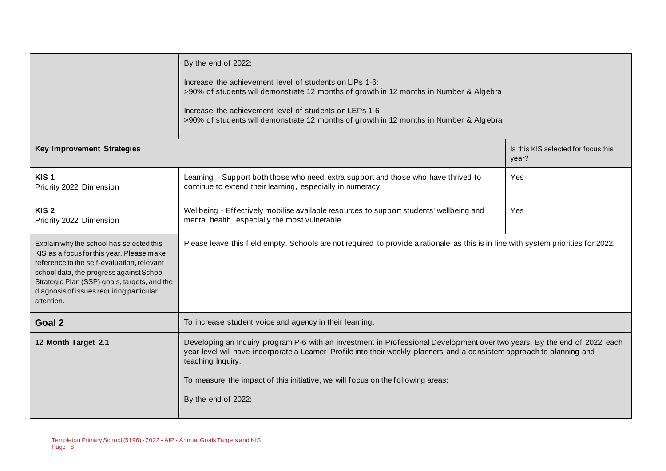|                                                                                                                                                                                                                                                                                           | By the end of 2022:<br>Increase the achievement level of students on LIPs 1-6:<br>>90% of students will demonstrate 12 months of growth in 12 months in Number & Algebra                                                                                                                                                                                                            |                                              |
|-------------------------------------------------------------------------------------------------------------------------------------------------------------------------------------------------------------------------------------------------------------------------------------------|-------------------------------------------------------------------------------------------------------------------------------------------------------------------------------------------------------------------------------------------------------------------------------------------------------------------------------------------------------------------------------------|----------------------------------------------|
|                                                                                                                                                                                                                                                                                           | Increase the achievement level of students on LEPs 1-6<br>>90% of students will demonstrate 12 months of growth in 12 months in Number & Algebra                                                                                                                                                                                                                                    |                                              |
| <b>Key Improvement Strategies</b>                                                                                                                                                                                                                                                         |                                                                                                                                                                                                                                                                                                                                                                                     | Is this KIS selected for focus this<br>year? |
| KIS <sub>1</sub><br>Priority 2022 Dimension                                                                                                                                                                                                                                               | Learning - Support both those who need extra support and those who have thrived to<br>continue to extend their learning, especially in numeracy                                                                                                                                                                                                                                     | Yes                                          |
| KIS <sub>2</sub><br>Priority 2022 Dimension                                                                                                                                                                                                                                               | Wellbeing - Effectively mobilise available resources to support students' wellbeing and<br>mental health, especially the most vulnerable                                                                                                                                                                                                                                            | Yes                                          |
| Explain why the school has selected this<br>KIS as a focus for this year. Please make<br>reference to the self-evaluation, relevant<br>school data, the progress against School<br>Strategic Plan (SSP) goals, targets, and the<br>diagnosis of issues requiring particular<br>attention. | Please leave this field empty. Schools are not required to provide a rationale as this is in line with system priorities for 2022.                                                                                                                                                                                                                                                  |                                              |
| Goal 2                                                                                                                                                                                                                                                                                    | To increase student voice and agency in their learning.                                                                                                                                                                                                                                                                                                                             |                                              |
| 12 Month Target 2.1                                                                                                                                                                                                                                                                       | Developing an Inquiry program P-6 with an investment in Professional Development over two years. By the end of 2022, each<br>year level will have incorporate a Learner Profile into their weekly planners and a consistent approach to planning and<br>teaching Inquiry.<br>To measure the impact of this initiative, we will focus on the following areas:<br>By the end of 2022: |                                              |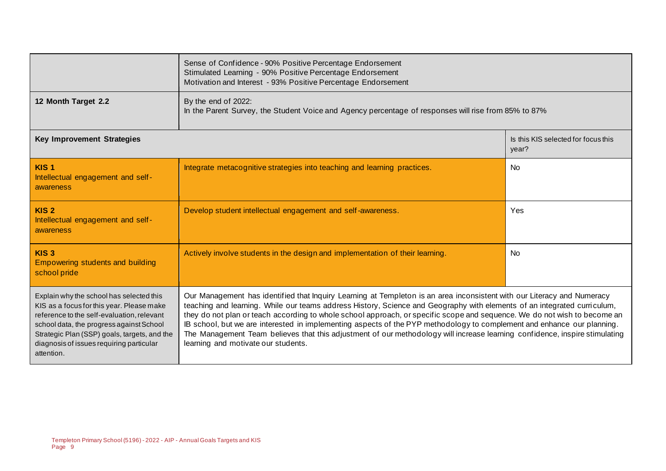|                                                                                                                                                                                                                                                                                           | Sense of Confidence - 90% Positive Percentage Endorsement<br>Stimulated Learning - 90% Positive Percentage Endorsement<br>Motivation and Interest - 93% Positive Percentage Endorsement                                                                                                                                                                                                                                                                                                                                                                                                                                                                                           |                                              |  |  |
|-------------------------------------------------------------------------------------------------------------------------------------------------------------------------------------------------------------------------------------------------------------------------------------------|-----------------------------------------------------------------------------------------------------------------------------------------------------------------------------------------------------------------------------------------------------------------------------------------------------------------------------------------------------------------------------------------------------------------------------------------------------------------------------------------------------------------------------------------------------------------------------------------------------------------------------------------------------------------------------------|----------------------------------------------|--|--|
| 12 Month Target 2.2                                                                                                                                                                                                                                                                       | By the end of 2022:<br>In the Parent Survey, the Student Voice and Agency percentage of responses will rise from 85% to 87%                                                                                                                                                                                                                                                                                                                                                                                                                                                                                                                                                       |                                              |  |  |
| Key Improvement Strategies                                                                                                                                                                                                                                                                |                                                                                                                                                                                                                                                                                                                                                                                                                                                                                                                                                                                                                                                                                   | Is this KIS selected for focus this<br>year? |  |  |
| KIS <sub>1</sub><br>Intellectual engagement and self-<br>awareness                                                                                                                                                                                                                        | Integrate metacognitive strategies into teaching and learning practices.                                                                                                                                                                                                                                                                                                                                                                                                                                                                                                                                                                                                          | <b>No</b>                                    |  |  |
| KIS <sub>2</sub><br>Intellectual engagement and self-<br>awareness                                                                                                                                                                                                                        | Develop student intellectual engagement and self-awareness.                                                                                                                                                                                                                                                                                                                                                                                                                                                                                                                                                                                                                       | Yes                                          |  |  |
| KIS <sub>3</sub><br><b>Empowering students and building</b><br>school pride                                                                                                                                                                                                               | Actively involve students in the design and implementation of their learning.                                                                                                                                                                                                                                                                                                                                                                                                                                                                                                                                                                                                     | <b>No</b>                                    |  |  |
| Explain why the school has selected this<br>KIS as a focus for this year. Please make<br>reference to the self-evaluation, relevant<br>school data, the progress against School<br>Strategic Plan (SSP) goals, targets, and the<br>diagnosis of issues requiring particular<br>attention. | Our Management has identified that Inquiry Learning at Templeton is an area inconsistent with our Literacy and Numeracy<br>teaching and learning. While our teams address History, Science and Geography with elements of an integrated curriculum,<br>they do not plan or teach according to whole school approach, or specific scope and sequence. We do not wish to become an<br>IB school, but we are interested in implementing aspects of the PYP methodology to complement and enhance our planning.<br>The Management Team believes that this adjustment of our methodology will increase learning confidence, inspire stimulating<br>learning and motivate our students. |                                              |  |  |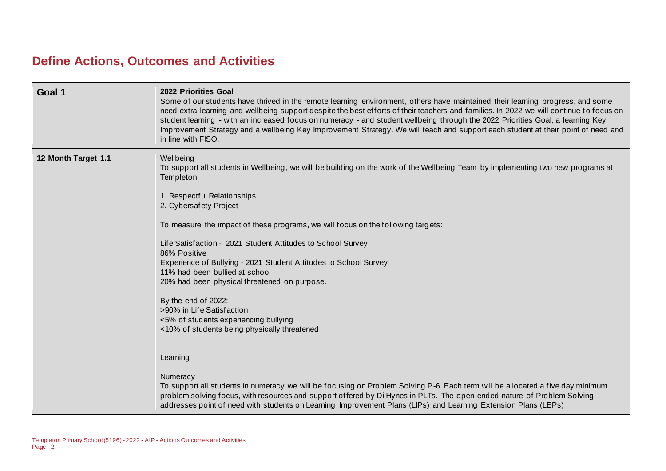## **Define Actions, Outcomes and Activities**

| Goal 1              | 2022 Priorities Goal<br>Some of our students have thrived in the remote learning environment, others have maintained their learning progress, and some<br>need extra learning and wellbeing support despite the best efforts of their teachers and families. In 2022 we will continue to focus on<br>student learning - with an increased focus on numeracy - and student wellbeing through the 2022 Priorities Goal, a learning Key<br>Improvement Strategy and a wellbeing Key Improvement Strategy. We will teach and support each student at their point of need and<br>in line with FISO.                                                                                                                                                                                                                                                                                                                                                                                                                                                                                                   |
|---------------------|--------------------------------------------------------------------------------------------------------------------------------------------------------------------------------------------------------------------------------------------------------------------------------------------------------------------------------------------------------------------------------------------------------------------------------------------------------------------------------------------------------------------------------------------------------------------------------------------------------------------------------------------------------------------------------------------------------------------------------------------------------------------------------------------------------------------------------------------------------------------------------------------------------------------------------------------------------------------------------------------------------------------------------------------------------------------------------------------------|
| 12 Month Target 1.1 | Wellbeing<br>To support all students in Wellbeing, we will be building on the work of the Wellbeing Team by implementing two new programs at<br>Templeton:<br>1. Respectful Relationships<br>2. Cybersafety Project<br>To measure the impact of these programs, we will focus on the following targets:<br>Life Satisfaction - 2021 Student Attitudes to School Survey<br>86% Positive<br>Experience of Bullying - 2021 Student Attitudes to School Survey<br>11% had been bullied at school<br>20% had been physical threatened on purpose.<br>By the end of 2022:<br>>90% in Life Satisfaction<br><5% of students experiencing bullying<br><10% of students being physically threatened<br>Learning<br>Numeracy<br>To support all students in numeracy we will be focusing on Problem Solving P-6. Each term will be allocated a five day minimum<br>problem solving focus, with resources and support offered by Di Hynes in PLTs. The open-ended nature of Problem Solving<br>addresses point of need with students on Learning Improvement Plans (LIPs) and Learning Extension Plans (LEPs) |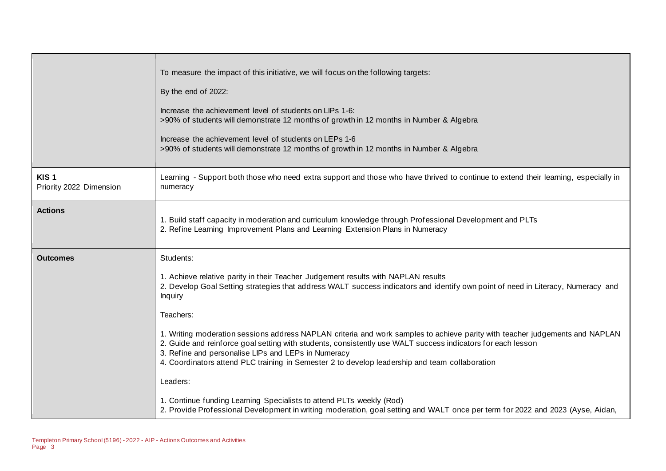|                                             | To measure the impact of this initiative, we will focus on the following targets:<br>By the end of 2022:<br>Increase the achievement level of students on LIPs 1-6:<br>>90% of students will demonstrate 12 months of growth in 12 months in Number & Algebra<br>Increase the achievement level of students on LEPs 1-6<br>>90% of students will demonstrate 12 months of growth in 12 months in Number & Algebra                                                                                                                                                                                                                                                                                                                                                                                                                                                                        |
|---------------------------------------------|------------------------------------------------------------------------------------------------------------------------------------------------------------------------------------------------------------------------------------------------------------------------------------------------------------------------------------------------------------------------------------------------------------------------------------------------------------------------------------------------------------------------------------------------------------------------------------------------------------------------------------------------------------------------------------------------------------------------------------------------------------------------------------------------------------------------------------------------------------------------------------------|
| KIS <sub>1</sub><br>Priority 2022 Dimension | Learning - Support both those who need extra support and those who have thrived to continue to extend their learning, especially in<br>numeracy                                                                                                                                                                                                                                                                                                                                                                                                                                                                                                                                                                                                                                                                                                                                          |
| <b>Actions</b>                              | 1. Build staff capacity in moderation and curriculum knowledge through Professional Development and PLTs<br>2. Refine Learning Improvement Plans and Learning Extension Plans in Numeracy                                                                                                                                                                                                                                                                                                                                                                                                                                                                                                                                                                                                                                                                                                |
| <b>Outcomes</b>                             | Students:<br>1. Achieve relative parity in their Teacher Judgement results with NAPLAN results<br>2. Develop Goal Setting strategies that address WALT success indicators and identify own point of need in Literacy, Numeracy and<br>Inquiry<br>Teachers:<br>1. Writing moderation sessions address NAPLAN criteria and work samples to achieve parity with teacher judgements and NAPLAN<br>2. Guide and reinforce goal setting with students, consistently use WALT success indicators for each lesson<br>3. Refine and personalise LIPs and LEPs in Numeracy<br>4. Coordinators attend PLC training in Semester 2 to develop leadership and team collaboration<br>Leaders:<br>1. Continue funding Learning Specialists to attend PLTs weekly (Rod)<br>2. Provide Professional Development in writing moderation, goal setting and WALT once per term for 2022 and 2023 (Ayse, Aidan, |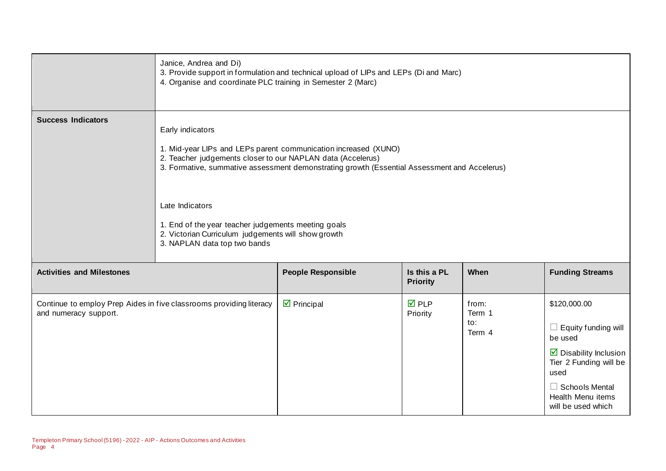|                                  | Janice, Andrea and Di)<br>4. Organise and coordinate PLC training in Semester 2 (Marc)                                                                                                                                                                                                                                                                                                                              | 3. Provide support in formulation and technical upload of LIPs and LEPs (Di and Marc) |                                 |                                  |                                                                                                                                                                                                      |
|----------------------------------|---------------------------------------------------------------------------------------------------------------------------------------------------------------------------------------------------------------------------------------------------------------------------------------------------------------------------------------------------------------------------------------------------------------------|---------------------------------------------------------------------------------------|---------------------------------|----------------------------------|------------------------------------------------------------------------------------------------------------------------------------------------------------------------------------------------------|
| <b>Success Indicators</b>        | Early indicators<br>1. Mid-year LIPs and LEPs parent communication increased (XUNO)<br>2. Teacher judgements closer to our NAPLAN data (Accelerus)<br>3. Formative, summative assessment demonstrating growth (Essential Assessment and Accelerus)<br>Late Indicators<br>1. End of the year teacher judgements meeting goals<br>2. Victorian Curriculum judgements will show growth<br>3. NAPLAN data top two bands |                                                                                       |                                 |                                  |                                                                                                                                                                                                      |
| <b>Activities and Milestones</b> |                                                                                                                                                                                                                                                                                                                                                                                                                     | <b>People Responsible</b>                                                             | Is this a PL<br><b>Priority</b> | When                             | <b>Funding Streams</b>                                                                                                                                                                               |
| and numeracy support.            | Continue to employ Prep Aides in five classrooms providing literacy                                                                                                                                                                                                                                                                                                                                                 | $\triangledown$ Principal                                                             | <b>☑</b> PLP<br>Priority        | from:<br>Term 1<br>to:<br>Term 4 | \$120,000.00<br>$\Box$ Equity funding will<br>be used<br>$\triangleright$ Disability Inclusion<br>Tier 2 Funding will be<br>used<br>$\Box$ Schools Mental<br>Health Menu items<br>will be used which |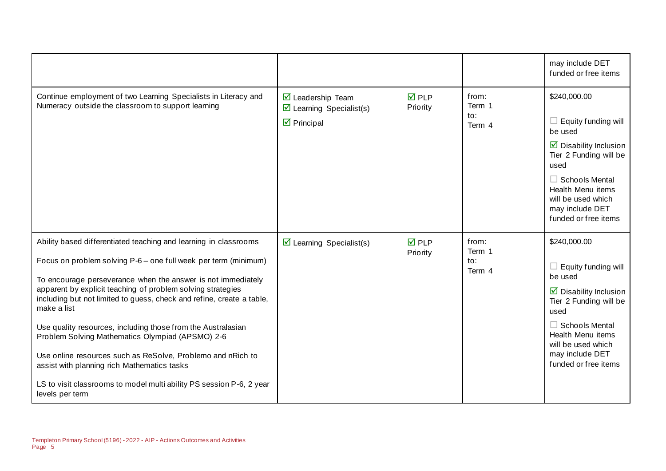|                                                                                                                                                                                                                                                                                                                                                                                                                                                                                                                                                                                                                                                                                         |                                                                                                          |                                |                                  | may include DET<br>funded or free items                                                                                                                                                                                                         |
|-----------------------------------------------------------------------------------------------------------------------------------------------------------------------------------------------------------------------------------------------------------------------------------------------------------------------------------------------------------------------------------------------------------------------------------------------------------------------------------------------------------------------------------------------------------------------------------------------------------------------------------------------------------------------------------------|----------------------------------------------------------------------------------------------------------|--------------------------------|----------------------------------|-------------------------------------------------------------------------------------------------------------------------------------------------------------------------------------------------------------------------------------------------|
| Continue employment of two Learning Specialists in Literacy and<br>Numeracy outside the classroom to support learning                                                                                                                                                                                                                                                                                                                                                                                                                                                                                                                                                                   | $\triangledown$ Leadership Team<br>$\triangleright$ Learning Specialist(s)<br>$\triangleright$ Principal | $\overline{M}$ PLP<br>Priority | from:<br>Term 1<br>to:<br>Term 4 | \$240,000.00<br>$\Box$ Equity funding will<br>be used<br>$\triangleright$ Disability Inclusion<br>Tier 2 Funding will be<br>used<br>$\Box$ Schools Mental<br>Health Menu items<br>will be used which<br>may include DET<br>funded or free items |
| Ability based differentiated teaching and learning in classrooms<br>Focus on problem solving P-6 – one full week per term (minimum)<br>To encourage perseverance when the answer is not immediately<br>apparent by explicit teaching of problem solving strategies<br>including but not limited to guess, check and refine, create a table,<br>make a list<br>Use quality resources, including those from the Australasian<br>Problem Solving Mathematics Olympiad (APSMO) 2-6<br>Use online resources such as ReSolve, Problemo and nRich to<br>assist with planning rich Mathematics tasks<br>LS to visit classrooms to model multi ability PS session P-6, 2 year<br>levels per term | $\triangleright$ Learning Specialist(s)                                                                  | $\overline{M}$ PLP<br>Priority | from:<br>Term 1<br>to:<br>Term 4 | \$240,000.00<br>$\Box$ Equity funding will<br>be used<br>$\triangleright$ Disability Inclusion<br>Tier 2 Funding will be<br>used<br>$\Box$ Schools Mental<br>Health Menu items<br>will be used which<br>may include DET<br>funded or free items |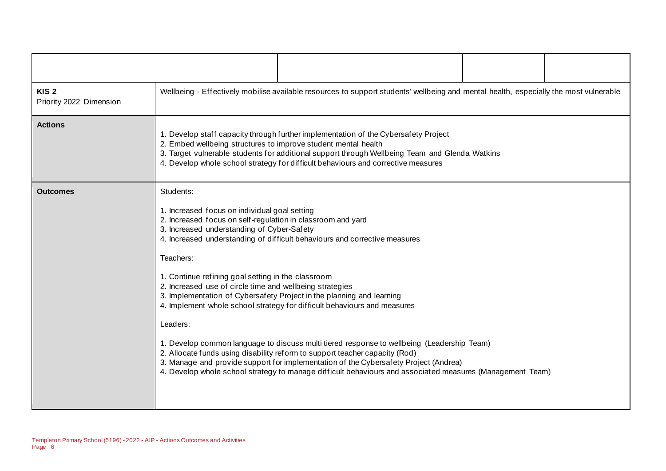| KIS <sub>2</sub><br>Priority 2022 Dimension |                                                                                                                                                                                                                                                                                                                                                                                                                                                                                                                                                                                                                                                                                                                                                                                                                                                                                                                                         | Wellbeing - Effectively mobilise available resources to support students' wellbeing and mental health, especially the most vulnerable |  |  |  |  |  |
|---------------------------------------------|-----------------------------------------------------------------------------------------------------------------------------------------------------------------------------------------------------------------------------------------------------------------------------------------------------------------------------------------------------------------------------------------------------------------------------------------------------------------------------------------------------------------------------------------------------------------------------------------------------------------------------------------------------------------------------------------------------------------------------------------------------------------------------------------------------------------------------------------------------------------------------------------------------------------------------------------|---------------------------------------------------------------------------------------------------------------------------------------|--|--|--|--|--|
| <b>Actions</b>                              | 1. Develop staff capacity through further implementation of the Cybersafety Project<br>2. Embed wellbeing structures to improve student mental health<br>3. Target vulnerable students for additional support through Wellbeing Team and Glenda Watkins<br>4. Develop whole school strategy for difficult behaviours and corrective measures                                                                                                                                                                                                                                                                                                                                                                                                                                                                                                                                                                                            |                                                                                                                                       |  |  |  |  |  |
| <b>Outcomes</b>                             | Students:<br>1. Increased focus on individual goal setting<br>2. Increased focus on self-regulation in classroom and yard<br>3. Increased understanding of Cyber-Safety<br>4. Increased understanding of difficult behaviours and corrective measures<br>Teachers:<br>1. Continue refining goal setting in the classroom<br>2. Increased use of circle time and wellbeing strategies<br>3. Implementation of Cybersafety Project in the planning and learning<br>4. Implement whole school strategy for difficult behaviours and measures<br>Leaders:<br>1. Develop common language to discuss multi tiered response to wellbeing (Leadership Team)<br>2. Allocate funds using disability reform to support teacher capacity (Rod)<br>3. Manage and provide support for implementation of the Cybersafety Project (Andrea)<br>4. Develop whole school strategy to manage difficult behaviours and associated measures (Management Team) |                                                                                                                                       |  |  |  |  |  |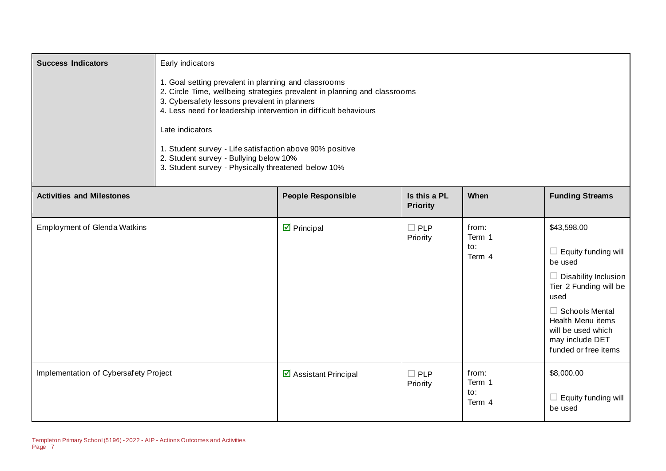| <b>Success Indicators</b>             | Early indicators<br>1. Goal setting prevalent in planning and classrooms<br>2. Circle Time, wellbeing strategies prevalent in planning and classrooms<br>3. Cybersafety lessons prevalent in planners<br>4. Less need for leadership intervention in difficult behaviours<br>Late indicators<br>1. Student survey - Life satisfaction above 90% positive<br>2. Student survey - Bullying below 10%<br>3. Student survey - Physically threatened below 10% |                            |                                 |                                  |                                                                                                                                                                                                                                    |
|---------------------------------------|-----------------------------------------------------------------------------------------------------------------------------------------------------------------------------------------------------------------------------------------------------------------------------------------------------------------------------------------------------------------------------------------------------------------------------------------------------------|----------------------------|---------------------------------|----------------------------------|------------------------------------------------------------------------------------------------------------------------------------------------------------------------------------------------------------------------------------|
| <b>Activities and Milestones</b>      |                                                                                                                                                                                                                                                                                                                                                                                                                                                           | <b>People Responsible</b>  | Is this a PL<br><b>Priority</b> | When                             | <b>Funding Streams</b>                                                                                                                                                                                                             |
| <b>Employment of Glenda Watkins</b>   |                                                                                                                                                                                                                                                                                                                                                                                                                                                           | $\triangleright$ Principal | $\Box$ PLP<br>Priority          | from:<br>Term 1<br>to:<br>Term 4 | \$43,598.00<br>Equity funding will<br>⊔<br>be used<br>$\Box$ Disability Inclusion<br>Tier 2 Funding will be<br>used<br>$\Box$ Schools Mental<br>Health Menu items<br>will be used which<br>may include DET<br>funded or free items |
| Implementation of Cybersafety Project |                                                                                                                                                                                                                                                                                                                                                                                                                                                           | ☑ Assistant Principal      | $\Box$ PLP<br>Priority          | from:<br>Term 1<br>to:<br>Term 4 | \$8,000.00<br>Equity funding will<br>⊔<br>be used                                                                                                                                                                                  |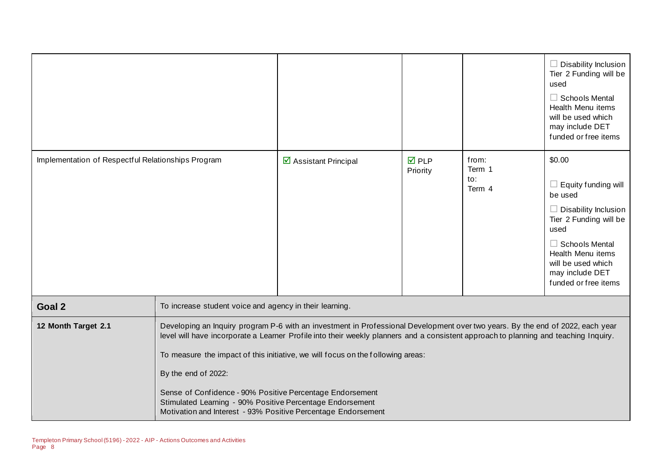|                                                    |                                                                                                                                                                                                                                                                                                                                                                                                                                                                                                                                                                             |                       |                                |                                  | $\Box$ Disability Inclusion<br>Tier 2 Funding will be<br>used<br>$\Box$ Schools Mental<br>Health Menu items<br>will be used which<br>may include DET<br>funded or free items                                                    |
|----------------------------------------------------|-----------------------------------------------------------------------------------------------------------------------------------------------------------------------------------------------------------------------------------------------------------------------------------------------------------------------------------------------------------------------------------------------------------------------------------------------------------------------------------------------------------------------------------------------------------------------------|-----------------------|--------------------------------|----------------------------------|---------------------------------------------------------------------------------------------------------------------------------------------------------------------------------------------------------------------------------|
| Implementation of Respectful Relationships Program |                                                                                                                                                                                                                                                                                                                                                                                                                                                                                                                                                                             | ☑ Assistant Principal | $\overline{M}$ PLP<br>Priority | from:<br>Term 1<br>to:<br>Term 4 | \$0.00<br>$\Box$ Equity funding will<br>be used<br>$\Box$ Disability Inclusion<br>Tier 2 Funding will be<br>used<br>$\Box$ Schools Mental<br>Health Menu items<br>will be used which<br>may include DET<br>funded or free items |
| Goal <sub>2</sub>                                  | To increase student voice and agency in their learning.                                                                                                                                                                                                                                                                                                                                                                                                                                                                                                                     |                       |                                |                                  |                                                                                                                                                                                                                                 |
| 12 Month Target 2.1                                | Developing an Inquiry program P-6 with an investment in Professional Development over two years. By the end of 2022, each year<br>level will have incorporate a Learner Profile into their weekly planners and a consistent approach to planning and teaching Inquiry.<br>To measure the impact of this initiative, we will focus on the following areas:<br>By the end of 2022:<br>Sense of Confidence - 90% Positive Percentage Endorsement<br>Stimulated Learning - 90% Positive Percentage Endorsement<br>Motivation and Interest - 93% Positive Percentage Endorsement |                       |                                |                                  |                                                                                                                                                                                                                                 |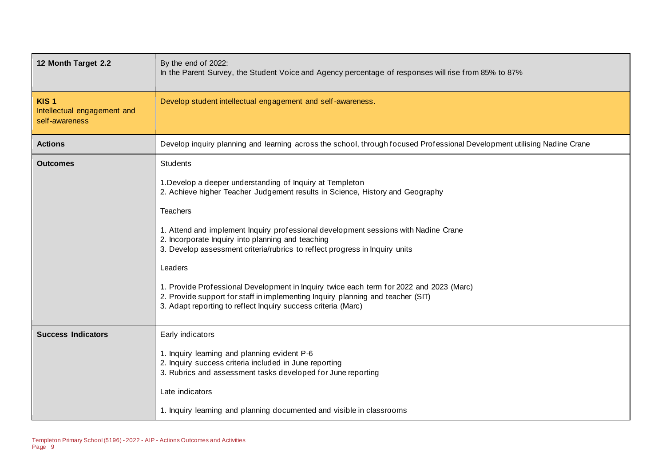| 12 Month Target 2.2                                               | By the end of 2022:<br>In the Parent Survey, the Student Voice and Agency percentage of responses will rise from 85% to 87%                                                                                                                 |
|-------------------------------------------------------------------|---------------------------------------------------------------------------------------------------------------------------------------------------------------------------------------------------------------------------------------------|
| KIS <sub>1</sub><br>Intellectual engagement and<br>self-awareness | Develop student intellectual engagement and self-awareness.                                                                                                                                                                                 |
| <b>Actions</b>                                                    | Develop inquiry planning and learning across the school, through focused Professional Development utilising Nadine Crane                                                                                                                    |
| <b>Outcomes</b>                                                   | <b>Students</b>                                                                                                                                                                                                                             |
|                                                                   | 1. Develop a deeper understanding of Inquiry at Templeton<br>2. Achieve higher Teacher Judgement results in Science, History and Geography                                                                                                  |
|                                                                   | <b>Teachers</b>                                                                                                                                                                                                                             |
|                                                                   | 1. Attend and implement Inquiry professional development sessions with Nadine Crane<br>2. Incorporate Inquiry into planning and teaching<br>3. Develop assessment criteria/rubrics to reflect progress in Inquiry units                     |
|                                                                   | Leaders                                                                                                                                                                                                                                     |
|                                                                   | 1. Provide Professional Development in Inquiry twice each term for 2022 and 2023 (Marc)<br>2. Provide support for staff in implementing Inquiry planning and teacher (SIT)<br>3. Adapt reporting to reflect Inquiry success criteria (Marc) |
| <b>Success Indicators</b>                                         | Early indicators                                                                                                                                                                                                                            |
|                                                                   | 1. Inquiry learning and planning evident P-6<br>2. Inquiry success criteria included in June reporting<br>3. Rubrics and assessment tasks developed for June reporting                                                                      |
|                                                                   | Late indicators                                                                                                                                                                                                                             |
|                                                                   | 1. Inquiry learning and planning documented and visible in classrooms                                                                                                                                                                       |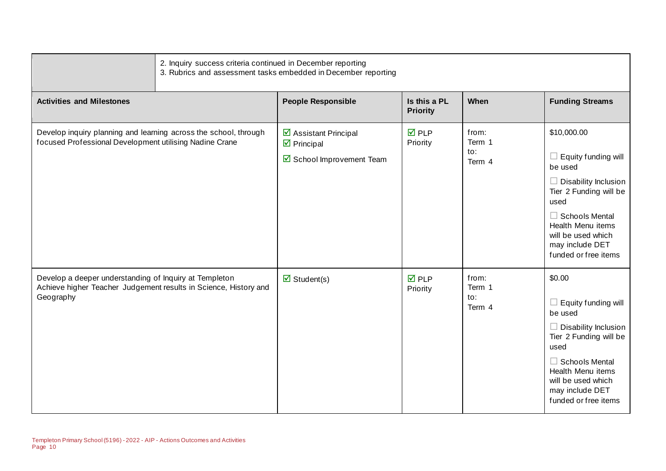|                                                                                                                                         | 2. Inquiry success criteria continued in December reporting<br>3. Rubrics and assessment tasks embedded in December reporting |                                                                                |                                 |                                  |                                                                                                                                                                                                                             |  |
|-----------------------------------------------------------------------------------------------------------------------------------------|-------------------------------------------------------------------------------------------------------------------------------|--------------------------------------------------------------------------------|---------------------------------|----------------------------------|-----------------------------------------------------------------------------------------------------------------------------------------------------------------------------------------------------------------------------|--|
| <b>Activities and Milestones</b>                                                                                                        |                                                                                                                               | <b>People Responsible</b>                                                      | Is this a PL<br><b>Priority</b> | When                             | <b>Funding Streams</b>                                                                                                                                                                                                      |  |
| Develop inquiry planning and learning across the school, through<br>focused Professional Development utilising Nadine Crane             |                                                                                                                               | ☑ Assistant Principal<br>$\triangleright$ Principal<br>School Improvement Team | $\nabla$ PLP<br>Priority        | from:<br>Term 1<br>to:<br>Term 4 | \$10,000.00<br>Equity funding will<br>ш<br>be used<br>Disability Inclusion<br>Tier 2 Funding will be<br>used<br>$\Box$ Schools Mental<br>Health Menu items<br>will be used which<br>may include DET<br>funded or free items |  |
| Develop a deeper understanding of Inquiry at Templeton<br>Achieve higher Teacher Judgement results in Science, History and<br>Geography |                                                                                                                               | $\overline{\mathbf{M}}$ Student(s)                                             | $\nabla$ PLP<br>Priority        | from:<br>Term 1<br>to:<br>Term 4 | \$0.00<br>Equity funding will<br>be used<br>Disability Inclusion<br>Tier 2 Funding will be<br>used<br><b>Schools Mental</b><br>ш<br>Health Menu items<br>will be used which<br>may include DET<br>funded or free items      |  |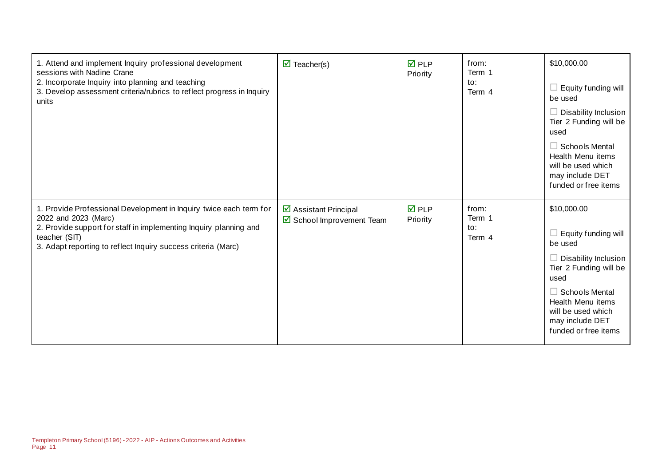| 1. Attend and implement Inquiry professional development<br>sessions with Nadine Crane<br>2. Incorporate Inquiry into planning and teaching<br>3. Develop assessment criteria/rubrics to reflect progress in Inquiry<br>units                     | $\triangledown$ Teacher(s)                                   | $\overline{M}$ PLP<br>Priority | from:<br>Term 1<br>to:<br>Term 4 | \$10,000.00<br>$\Box$ Equity funding will<br>be used<br>$\Box$ Disability Inclusion<br>Tier 2 Funding will be<br>used<br>$\Box$ Schools Mental<br>Health Menu items<br>will be used which<br>may include DET<br>funded or free items |
|---------------------------------------------------------------------------------------------------------------------------------------------------------------------------------------------------------------------------------------------------|--------------------------------------------------------------|--------------------------------|----------------------------------|--------------------------------------------------------------------------------------------------------------------------------------------------------------------------------------------------------------------------------------|
| 1. Provide Professional Development in Inquiry twice each term for<br>2022 and 2023 (Marc)<br>2. Provide support for staff in implementing Inquiry planning and<br>teacher (SIT)<br>3. Adapt reporting to reflect Inquiry success criteria (Marc) | ☑ Assistant Principal<br>$\boxtimes$ School Improvement Team | $\overline{M}$ PLP<br>Priority | from:<br>Term 1<br>to:<br>Term 4 | \$10,000.00<br>$\Box$ Equity funding will<br>be used<br>$\Box$ Disability Inclusion<br>Tier 2 Funding will be<br>used<br>$\Box$ Schools Mental<br>Health Menu items<br>will be used which<br>may include DET<br>funded or free items |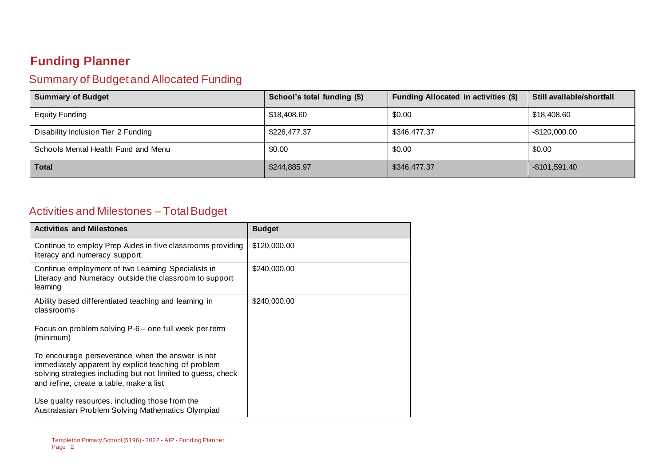## **Funding Planner**

#### Summary of Budget and Allocated Funding

| <b>Summary of Budget</b>            | School's total funding (\$) | Funding Allocated in activities (\$) | Still available/shortfall |
|-------------------------------------|-----------------------------|--------------------------------------|---------------------------|
| <b>Equity Funding</b>               | \$18,408.60                 | \$0.00                               | \$18,408.60               |
| Disability Inclusion Tier 2 Funding | \$226,477.37                | \$346,477.37                         | $-$120,000.00$            |
| Schools Mental Health Fund and Menu | \$0.00                      | \$0.00                               | \$0.00                    |
| <b>Total</b>                        | \$244,885.97                | \$346,477.37                         | $-$101,591.40$            |

#### Activities and Milestones – Total Budget

| <b>Activities and Milestones</b>                                                                                                                                                                                    | <b>Budget</b> |
|---------------------------------------------------------------------------------------------------------------------------------------------------------------------------------------------------------------------|---------------|
| Continue to employ Prep Aides in five classrooms providing<br>literacy and numeracy support.                                                                                                                        | \$120,000.00  |
| Continue employment of two Learning Specialists in<br>Literacy and Numeracy outside the classroom to support<br>learning                                                                                            | \$240,000.00  |
| Ability based differentiated teaching and learning in<br>classrooms                                                                                                                                                 | \$240,000.00  |
| Focus on problem solving P-6 – one full week per term<br>(minimum)                                                                                                                                                  |               |
| To encourage perseverance when the answer is not<br>immediately apparent by explicit teaching of problem<br>solving strategies including but not limited to guess, check<br>and refine, create a table, make a list |               |
| Use quality resources, including those from the<br>Australasian Problem Solving Mathematics Olympiad                                                                                                                |               |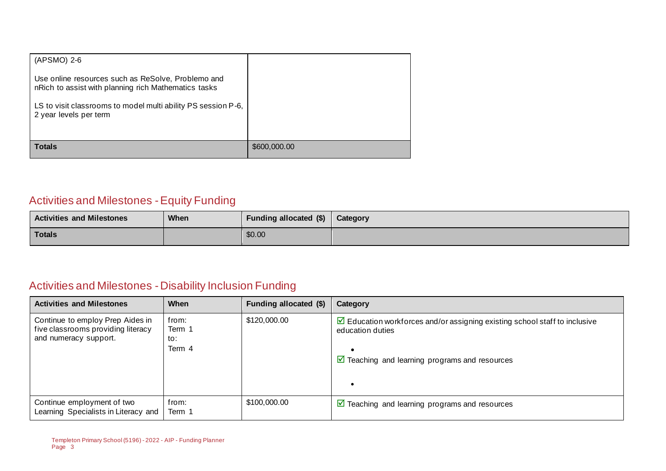| $(APSMO)$ 2-6                                                                                              |              |
|------------------------------------------------------------------------------------------------------------|--------------|
| Use online resources such as ReSolve, Problemo and<br>nRich to assist with planning rich Mathematics tasks |              |
| LS to visit classrooms to model multi ability PS session P-6,<br>2 year levels per term                    |              |
| <b>Totals</b>                                                                                              | \$600,000.00 |

## Activities and Milestones -Equity Funding

| <b>Activities and Milestones</b> | When | Funding allocated (\$) | Category |
|----------------------------------|------|------------------------|----------|
| <b>Totals</b>                    |      | \$0.00                 |          |

## Activities and Milestones -Disability Inclusion Funding

| <b>Activities and Milestones</b>                                                                | When                             | Funding allocated (\$) | Category                                                                                                                                                                       |
|-------------------------------------------------------------------------------------------------|----------------------------------|------------------------|--------------------------------------------------------------------------------------------------------------------------------------------------------------------------------|
| Continue to employ Prep Aides in<br>five classrooms providing literacy<br>and numeracy support. | from:<br>Term 1<br>to:<br>Term 4 | \$120,000.00           | $\triangleright$ Education workforces and/or assigning existing school staff to inclusive<br>education duties<br>$\triangleright$ Teaching and learning programs and resources |
| Continue employment of two<br>Learning Specialists in Literacy and                              | from:<br>Term 1                  | \$100,000.00           | $\triangleright$ Teaching and learning programs and resources                                                                                                                  |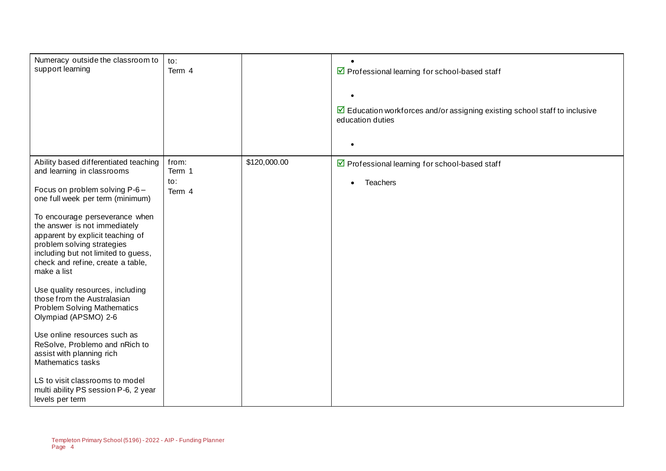| Numeracy outside the classroom to<br>support learning                                                                                                                                                                                                                                                                                                                                                                                                                                                                                                                                                                         | to:<br>Term 4                    |              | ☑ Professional learning for school-based staff<br>$\triangleright$ Education workforces and/or assigning existing school staff to inclusive<br>education duties |
|-------------------------------------------------------------------------------------------------------------------------------------------------------------------------------------------------------------------------------------------------------------------------------------------------------------------------------------------------------------------------------------------------------------------------------------------------------------------------------------------------------------------------------------------------------------------------------------------------------------------------------|----------------------------------|--------------|-----------------------------------------------------------------------------------------------------------------------------------------------------------------|
|                                                                                                                                                                                                                                                                                                                                                                                                                                                                                                                                                                                                                               |                                  |              |                                                                                                                                                                 |
| Ability based differentiated teaching<br>and learning in classrooms<br>Focus on problem solving P-6-<br>one full week per term (minimum)<br>To encourage perseverance when<br>the answer is not immediately<br>apparent by explicit teaching of<br>problem solving strategies<br>including but not limited to guess,<br>check and refine, create a table,<br>make a list<br>Use quality resources, including<br>those from the Australasian<br><b>Problem Solving Mathematics</b><br>Olympiad (APSMO) 2-6<br>Use online resources such as<br>ReSolve, Problemo and nRich to<br>assist with planning rich<br>Mathematics tasks | from:<br>Term 1<br>to:<br>Term 4 | \$120,000.00 | ☑ Professional learning for school-based staff<br><b>Teachers</b>                                                                                               |
| LS to visit classrooms to model<br>multi ability PS session P-6, 2 year<br>levels per term                                                                                                                                                                                                                                                                                                                                                                                                                                                                                                                                    |                                  |              |                                                                                                                                                                 |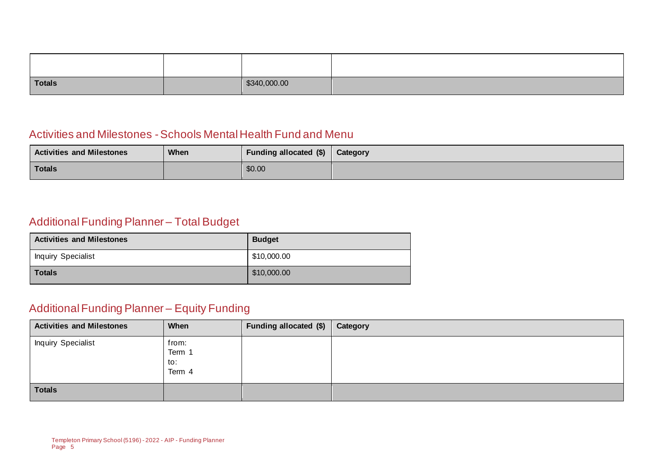| Totals | \$340,000.00 |  |
|--------|--------------|--|

#### Activities and Milestones -Schools Mental Health Fund and Menu

| <b>Activities and Milestones</b> | When | Funding allocated (\$) | Category |
|----------------------------------|------|------------------------|----------|
| Totals                           |      | \$0.00                 |          |

#### Additional Funding Planner – Total Budget

| <b>Activities and Milestones</b> | <b>Budget</b> |
|----------------------------------|---------------|
| <b>Inquiry Specialist</b>        | \$10,000.00   |
| <b>Totals</b>                    | \$10,000.00   |

#### Additional Funding Planner – Equity Funding

| <b>Activities and Milestones</b> | When                             | Funding allocated (\$) | Category |
|----------------------------------|----------------------------------|------------------------|----------|
| <b>Inquiry Specialist</b>        | from:<br>Term 1<br>to:<br>Term 4 |                        |          |
| <b>Totals</b>                    |                                  |                        |          |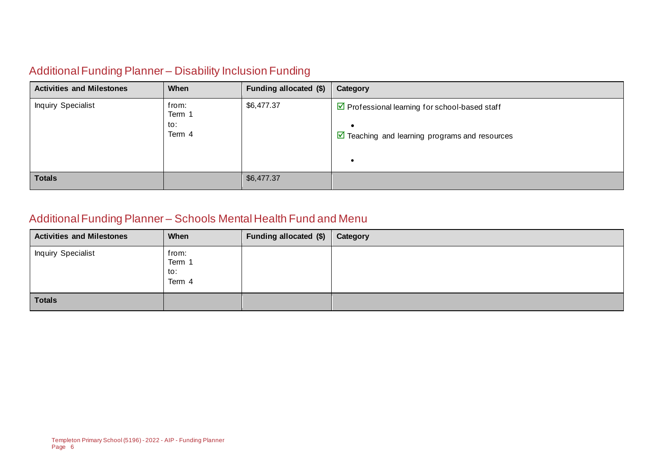#### Additional Funding Planner – Disability Inclusion Funding

| <b>Activities and Milestones</b> | When                             | Funding allocated (\$) | Category                                                                                                        |
|----------------------------------|----------------------------------|------------------------|-----------------------------------------------------------------------------------------------------------------|
| Inquiry Specialist               | from:<br>Term 1<br>to:<br>Term 4 | \$6,477.37             | ☑ Professional learning for school-based staff<br>$\triangleright$ Teaching and learning programs and resources |
| <b>Totals</b>                    |                                  | \$6,477.37             |                                                                                                                 |

#### Additional Funding Planner – Schools Mental Health Fund and Menu

| <b>Activities and Milestones</b> | When                             | Funding allocated (\$) | Category |
|----------------------------------|----------------------------------|------------------------|----------|
| <b>Inquiry Specialist</b>        | from:<br>Term 1<br>to:<br>Term 4 |                        |          |
| <b>Totals</b>                    |                                  |                        |          |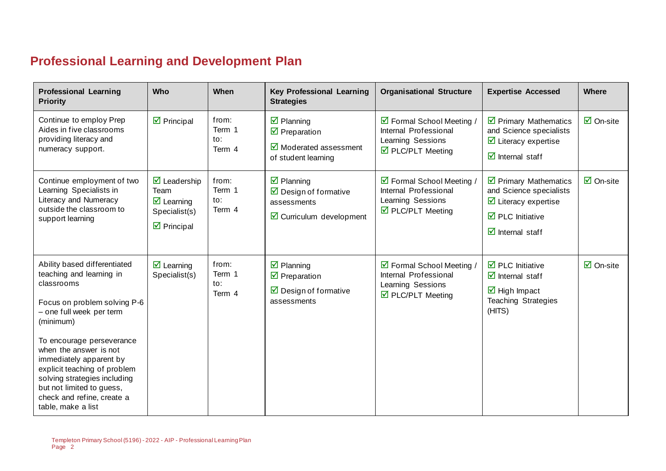## **Professional Learning and Development Plan**

| <b>Professional Learning</b><br><b>Priority</b>                                                                                                                                                                                                                                                                                                                                    | <b>Who</b>                                                                                                            | When                             | <b>Key Professional Learning</b><br><b>Strategies</b>                                                                              | <b>Organisational Structure</b>                                                                          | <b>Expertise Accessed</b>                                                                                                                                                                        | <b>Where</b>                    |
|------------------------------------------------------------------------------------------------------------------------------------------------------------------------------------------------------------------------------------------------------------------------------------------------------------------------------------------------------------------------------------|-----------------------------------------------------------------------------------------------------------------------|----------------------------------|------------------------------------------------------------------------------------------------------------------------------------|----------------------------------------------------------------------------------------------------------|--------------------------------------------------------------------------------------------------------------------------------------------------------------------------------------------------|---------------------------------|
| Continue to employ Prep<br>Aides in five classrooms<br>providing literacy and<br>numeracy support.                                                                                                                                                                                                                                                                                 | $\triangleright$ Principal                                                                                            | from:<br>Term 1<br>to:<br>Term 4 | $\triangledown$ Planning<br>$\triangledown$ Preparation<br>$\overline{\mathbf{y}}$ Moderated assessment<br>of student learning     | ■ Formal School Meeting<br>Internal Professional<br>Learning Sessions<br>$\triangledown$ PLC/PLT Meeting | $\triangleright$ Primary Mathematics<br>and Science specialists<br>$\triangleright$ Literacy expertise<br>$\overline{\mathbf{d}}$ Internal staff                                                 | $\overline{\mathsf{M}}$ On-site |
| Continue employment of two<br>Learning Specialists in<br>Literacy and Numeracy<br>outside the classroom to<br>support learning                                                                                                                                                                                                                                                     | $\overline{\mathbf{M}}$ Leadership<br>Team<br>$\triangledown$ Learning<br>Specialist(s)<br>$\triangleright$ Principal | from:<br>Term 1<br>to:<br>Term 4 | $\overline{\mathbf{y}}$ Planning<br>$\triangleright$ Design of formative<br>assessments<br>$\triangleright$ Curriculum development | ■ Formal School Meeting<br>Internal Professional<br>Learning Sessions<br>$\triangledown$ PLC/PLT Meeting | $\triangleright$ Primary Mathematics<br>and Science specialists<br>$\overline{\mathbf{y}}$ Literacy expertise<br>$\overline{\boxtimes}$ PLC Initiative<br>$\overline{\mathbf{y}}$ Internal staff | $\overline{\mathbf{M}}$ On-site |
| Ability based differentiated<br>teaching and learning in<br>classrooms<br>Focus on problem solving P-6<br>- one full week per term<br>(minimum)<br>To encourage perseverance<br>when the answer is not<br>immediately apparent by<br>explicit teaching of problem<br>solving strategies including<br>but not limited to guess,<br>check and refine, create a<br>table, make a list | $\overline{\mathbf{z}}$ Learning<br>Specialist(s)                                                                     | from:<br>Term 1<br>to:<br>Term 4 | $\boxtimes$ Planning<br>$\overline{\mathbf{M}}$ Preparation<br>$\triangleright$ Design of formative<br>assessments                 | ☑ Formal School Meeting /<br>Internal Professional<br>Learning Sessions<br>☑ PLC/PLT Meeting             | $\overline{\boxtimes}$ PLC Initiative<br>$\overline{\mathbf{y}}$ Internal staff<br>$\overline{\boxtimes}$ High Impact<br><b>Teaching Strategies</b><br>(HITS)                                    | $\overline{\mathsf{M}}$ On-site |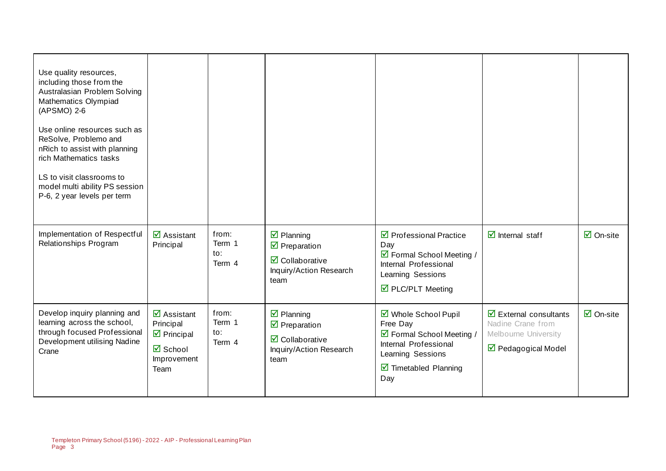| Use quality resources,<br>including those from the<br>Australasian Problem Solving<br>Mathematics Olympiad<br>(APSMO) 2-6<br>Use online resources such as<br>ReSolve, Problemo and<br>nRich to assist with planning<br>rich Mathematics tasks<br>LS to visit classrooms to<br>model multi ability PS session<br>P-6, 2 year levels per term |                                                                                                                        |                                  |                                                                                                                                                     |                                                                                                                                                            |                                                                                                                                |                                 |
|---------------------------------------------------------------------------------------------------------------------------------------------------------------------------------------------------------------------------------------------------------------------------------------------------------------------------------------------|------------------------------------------------------------------------------------------------------------------------|----------------------------------|-----------------------------------------------------------------------------------------------------------------------------------------------------|------------------------------------------------------------------------------------------------------------------------------------------------------------|--------------------------------------------------------------------------------------------------------------------------------|---------------------------------|
| Implementation of Respectful<br>Relationships Program                                                                                                                                                                                                                                                                                       | $\overline{\mathbf{M}}$ Assistant<br>Principal                                                                         | from:<br>Term 1<br>to:<br>Term 4 | $\overline{\mathbf{y}}$ Planning<br>$\overline{\mathbf{y}}$ Preparation<br>$\overline{\mathbf{M}}$ Collaborative<br>Inquiry/Action Research<br>team | $\triangledown$ Professional Practice<br>Day<br>☑ Formal School Meeting /<br>Internal Professional<br>Learning Sessions<br>☑ PLC/PLT Meeting               | $\overline{\mathbf{d}}$ Internal staff                                                                                         | $\overline{\mathsf{M}}$ On-site |
| Develop inquiry planning and<br>learning across the school,<br>through focused Professional<br>Development utilising Nadine<br>Crane                                                                                                                                                                                                        | $\overline{\mathbf{M}}$ Assistant<br>Principal<br>$\triangleright$ Principal<br><b>Ø</b> School<br>Improvement<br>Team | from:<br>Term 1<br>to:<br>Term 4 | $\overline{\mathbf{y}}$ Planning<br>$\overline{\mathbf{M}}$ Preparation<br>$\boxtimes$ Collaborative<br>Inquiry/Action Research<br>team             | ■ Whole School Pupil<br>Free Day<br>☑ Formal School Meeting /<br>Internal Professional<br>Learning Sessions<br>$\triangleright$ Timetabled Planning<br>Day | $\overline{\mathbf{y}}$ External consultants<br>Nadine Crane from<br>Melbourne University<br>$\triangledown$ Pedagogical Model | $\overline{\mathsf{M}}$ On-site |